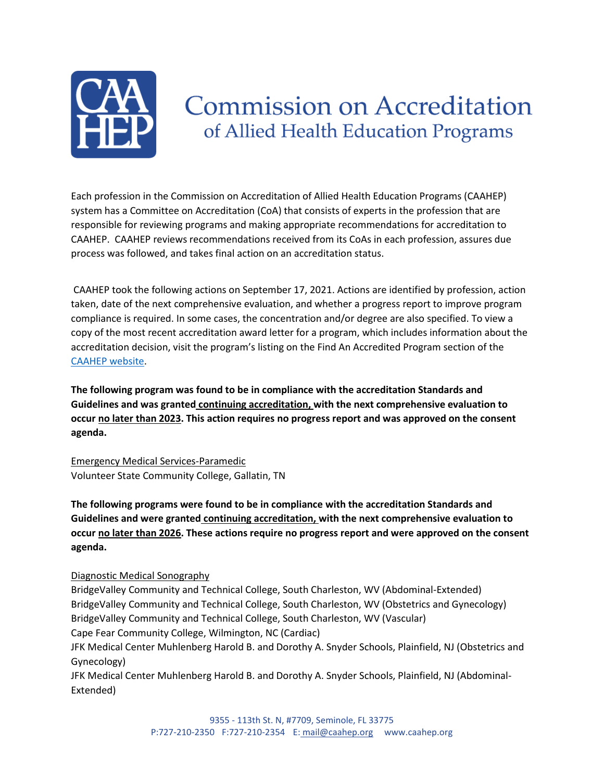

# **Commission on Accreditation** of Allied Health Education Programs

Each profession in the Commission on Accreditation of Allied Health Education Programs (CAAHEP) system has a Committee on Accreditation (CoA) that consists of experts in the profession that are responsible for reviewing programs and making appropriate recommendations for accreditation to CAAHEP. CAAHEP reviews recommendations received from its CoAs in each profession, assures due process was followed, and takes final action on an accreditation status.

CAAHEP took the following actions on September 17, 2021. Actions are identified by profession, action taken, date of the next comprehensive evaluation, and whether a progress report to improve program compliance is required. In some cases, the concentration and/or degree are also specified. To view a copy of the most recent accreditation award letter for a program, which includes information about the accreditation decision, visit the program's listing on the Find An Accredited Program section of the [CAAHEP website.](https://www.caahep.org/Students/Find-a-Program.aspx)

**The following program was found to be in compliance with the accreditation Standards and Guidelines and was granted continuing accreditation, with the next comprehensive evaluation to occur no later than 2023. This action requires no progress report and was approved on the consent agenda.** 

Emergency Medical Services-Paramedic Volunteer State Community College, Gallatin, TN

**The following programs were found to be in compliance with the accreditation Standards and Guidelines and were granted continuing accreditation, with the next comprehensive evaluation to occur no later than 2026. These actions require no progress report and were approved on the consent agenda.** 

Diagnostic Medical Sonography

BridgeValley Community and Technical College, South Charleston, WV (Abdominal-Extended) BridgeValley Community and Technical College, South Charleston, WV (Obstetrics and Gynecology) BridgeValley Community and Technical College, South Charleston, WV (Vascular) Cape Fear Community College, Wilmington, NC (Cardiac) JFK Medical Center Muhlenberg Harold B. and Dorothy A. Snyder Schools, Plainfield, NJ (Obstetrics and Gynecology) JFK Medical Center Muhlenberg Harold B. and Dorothy A. Snyder Schools, Plainfield, NJ (Abdominal-Extended)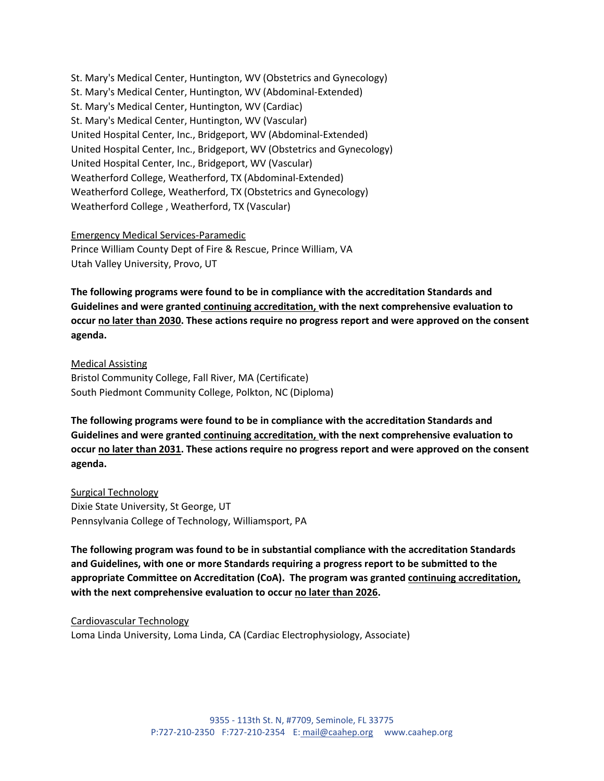St. Mary's Medical Center, Huntington, WV (Obstetrics and Gynecology) St. Mary's Medical Center, Huntington, WV (Abdominal-Extended) St. Mary's Medical Center, Huntington, WV (Cardiac) St. Mary's Medical Center, Huntington, WV (Vascular) United Hospital Center, Inc., Bridgeport, WV (Abdominal-Extended) United Hospital Center, Inc., Bridgeport, WV (Obstetrics and Gynecology) United Hospital Center, Inc., Bridgeport, WV (Vascular) Weatherford College, Weatherford, TX (Abdominal-Extended) Weatherford College, Weatherford, TX (Obstetrics and Gynecology) Weatherford College , Weatherford, TX (Vascular)

#### Emergency Medical Services-Paramedic

Prince William County Dept of Fire & Rescue, Prince William, VA Utah Valley University, Provo, UT

**The following programs were found to be in compliance with the accreditation Standards and Guidelines and were granted continuing accreditation, with the next comprehensive evaluation to occur no later than 2030. These actions require no progress report and were approved on the consent agenda.** 

Medical Assisting Bristol Community College, Fall River, MA (Certificate) South Piedmont Community College, Polkton, NC (Diploma)

**The following programs were found to be in compliance with the accreditation Standards and Guidelines and were granted continuing accreditation, with the next comprehensive evaluation to occur no later than 2031. These actions require no progress report and were approved on the consent agenda.** 

Surgical Technology Dixie State University, St George, UT Pennsylvania College of Technology, Williamsport, PA

**The following program was found to be in substantial compliance with the accreditation Standards and Guidelines, with one or more Standards requiring a progress report to be submitted to the appropriate Committee on Accreditation (CoA). The program was granted continuing accreditation, with the next comprehensive evaluation to occur no later than 2026.**

Cardiovascular Technology Loma Linda University, Loma Linda, CA (Cardiac Electrophysiology, Associate)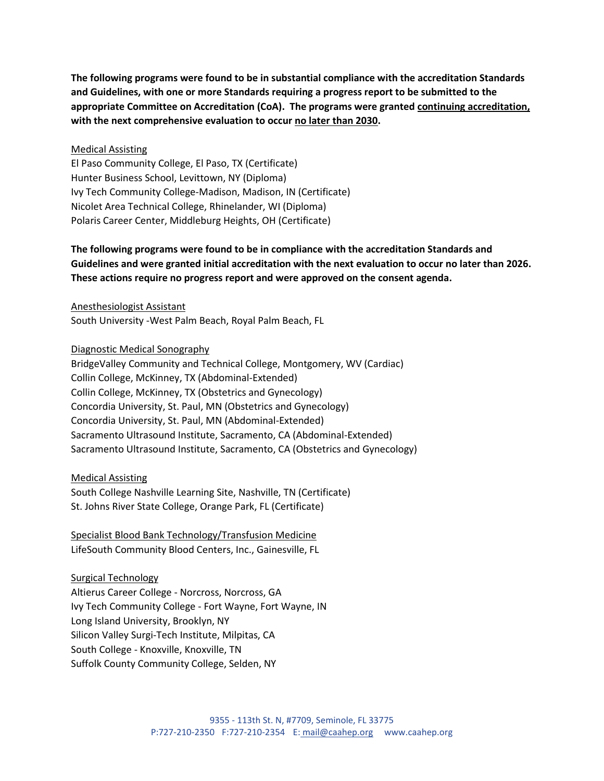**The following programs were found to be in substantial compliance with the accreditation Standards and Guidelines, with one or more Standards requiring a progress report to be submitted to the appropriate Committee on Accreditation (CoA). The programs were granted continuing accreditation, with the next comprehensive evaluation to occur no later than 2030.**

#### Medical Assisting

El Paso Community College, El Paso, TX (Certificate) Hunter Business School, Levittown, NY (Diploma) Ivy Tech Community College-Madison, Madison, IN (Certificate) Nicolet Area Technical College, Rhinelander, WI (Diploma) Polaris Career Center, Middleburg Heights, OH (Certificate)

## **The following programs were found to be in compliance with the accreditation Standards and Guidelines and were granted initial accreditation with the next evaluation to occur no later than 2026. These actions require no progress report and were approved on the consent agenda.**

Anesthesiologist Assistant South University -West Palm Beach, Royal Palm Beach, FL

Diagnostic Medical Sonography

BridgeValley Community and Technical College, Montgomery, WV (Cardiac) Collin College, McKinney, TX (Abdominal-Extended) Collin College, McKinney, TX (Obstetrics and Gynecology) Concordia University, St. Paul, MN (Obstetrics and Gynecology) Concordia University, St. Paul, MN (Abdominal-Extended) Sacramento Ultrasound Institute, Sacramento, CA (Abdominal-Extended) Sacramento Ultrasound Institute, Sacramento, CA (Obstetrics and Gynecology)

Medical Assisting South College Nashville Learning Site, Nashville, TN (Certificate) St. Johns River State College, Orange Park, FL (Certificate)

Specialist Blood Bank Technology/Transfusion Medicine LifeSouth Community Blood Centers, Inc., Gainesville, FL

Surgical Technology Altierus Career College - Norcross, Norcross, GA Ivy Tech Community College - Fort Wayne, Fort Wayne, IN Long Island University, Brooklyn, NY Silicon Valley Surgi-Tech Institute, Milpitas, CA South College - Knoxville, Knoxville, TN Suffolk County Community College, Selden, NY